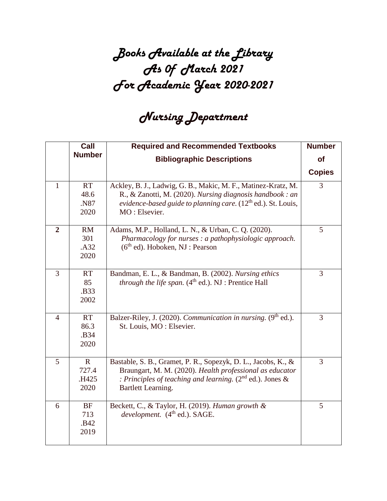## *Books Available at the Library As 0f March 2021 For Academic Year 2020-2021*

## *Nursing Department*

|                | Call                                  | <b>Required and Recommended Textbooks</b>                                                                                                                                                                         | <b>Number</b> |
|----------------|---------------------------------------|-------------------------------------------------------------------------------------------------------------------------------------------------------------------------------------------------------------------|---------------|
|                | <b>Number</b>                         | <b>Bibliographic Descriptions</b>                                                                                                                                                                                 | <b>of</b>     |
|                |                                       |                                                                                                                                                                                                                   | <b>Copies</b> |
| 1              | <b>RT</b><br>48.6<br>.N87<br>2020     | Ackley, B. J., Ladwig, G. B., Makic, M. F., Matinez-Kratz, M.<br>R., & Zanotti, M. (2020). Nursing diagnosis handbook : an<br>evidence-based guide to planning care. $(12th$ ed.). St. Louis,<br>MO: Elsevier.    | 3             |
| $\overline{2}$ | RM<br>301<br>.A32<br>2020             | Adams, M.P., Holland, L. N., & Urban, C. Q. (2020).<br>Pharmacology for nurses : a pathophysiologic approach.<br>$(6th$ ed). Hoboken, NJ : Pearson                                                                | 5             |
| $\overline{3}$ | <b>RT</b><br>85<br>.B33<br>2002       | Bandman, E. L., & Bandman, B. (2002). Nursing ethics<br><i>through the life span.</i> $(4th ed.)$ . NJ : Prentice Hall                                                                                            | 3             |
| $\overline{4}$ | <b>RT</b><br>86.3<br>.B34<br>2020     | Balzer-Riley, J. (2020). Communication in nursing. (9 <sup>th</sup> ed.).<br>St. Louis, MO: Elsevier.                                                                                                             | 3             |
| 5              | $\mathbf R$<br>727.4<br>.H425<br>2020 | Bastable, S. B., Gramet, P. R., Sopezyk, D. L., Jacobs, K., &<br>Braungart, M. M. (2020). Health professional as educator<br>: Principles of teaching and learning. $(2^{nd}$ ed.). Jones &<br>Bartlett Learning. | 3             |
| 6              | <b>BF</b><br>713<br>.B42<br>2019      | Beckett, C., & Taylor, H. (2019). Human growth &<br>development. (4 <sup>th</sup> ed.). SAGE.                                                                                                                     | 5             |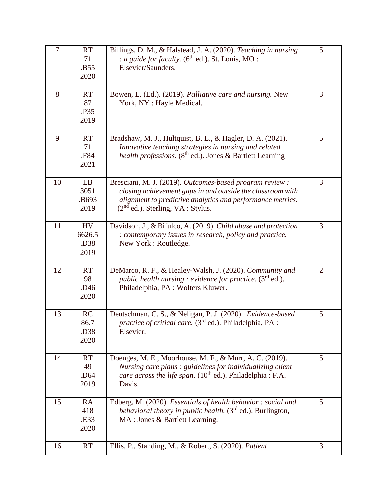| 7  | <b>RT</b><br>71<br>.B55<br>2020             | Billings, D. M., & Halstead, J. A. (2020). Teaching in nursing<br>: a guide for faculty. ( $6th$ ed.). St. Louis, MO :<br>Elsevier/Saunders.                                                                                | 5              |
|----|---------------------------------------------|-----------------------------------------------------------------------------------------------------------------------------------------------------------------------------------------------------------------------------|----------------|
| 8  | <b>RT</b><br>87<br>.P35<br>2019             | Bowen, L. (Ed.). (2019). Palliative care and nursing. New<br>York, NY : Hayle Medical.                                                                                                                                      | 3              |
| 9  | <b>RT</b><br>71<br>.F84<br>2021             | Bradshaw, M. J., Hultquist, B. L., & Hagler, D. A. (2021).<br>Innovative teaching strategies in nursing and related<br><i>health professions.</i> ( $8th$ ed.). Jones & Bartlett Learning                                   | 5              |
| 10 | LB<br>3051<br>.B693<br>2019                 | Bresciani, M. J. (2019). Outcomes-based program review :<br>closing achievement gaps in and outside the classroom with<br>alignment to predictive analytics and performance metrics.<br>$(2nd$ ed.). Sterling, VA : Stylus. | 3              |
| 11 | <b>HV</b><br>6626.5<br>.D38<br>2019         | Davidson, J., & Bifulco, A. (2019). Child abuse and protection<br>: contemporary issues in research, policy and practice.<br>New York: Routledge.                                                                           | $\overline{3}$ |
| 12 | <b>RT</b><br>98<br>.D46<br>2020             | DeMarco, R. F., & Healey-Walsh, J. (2020). Community and<br>public health nursing : evidence for practice. (3rd ed.).<br>Philadelphia, PA : Wolters Kluwer.                                                                 | $\overline{2}$ |
| 13 | RC<br>86.7<br>.D <sub>38</sub><br>2020      | Deutschman, C. S., & Neligan, P. J. (2020). Evidence-based<br><i>practice of critical care.</i> (3 <sup>rd</sup> ed.). Philadelphia, PA :<br>Elsevier.                                                                      | 5              |
| 14 | <b>RT</b><br>49<br>.D <sub>64</sub><br>2019 | Doenges, M. E., Moorhouse, M. F., & Murr, A. C. (2019).<br>Nursing care plans : guidelines for individualizing client<br>care across the life span. (10 <sup>th</sup> ed.). Philadelphia : F.A.<br>Davis.                   | 5              |
| 15 | <b>RA</b><br>418<br>.E33<br>2020            | Edberg, M. (2020). Essentials of health behavior: social and<br><i>behavioral theory in public health.</i> (3 <sup>rd</sup> ed.). Burlington,<br>MA: Jones & Bartlett Learning.                                             | 5              |
| 16 | <b>RT</b>                                   | Ellis, P., Standing, M., & Robert, S. (2020). Patient                                                                                                                                                                       | 3              |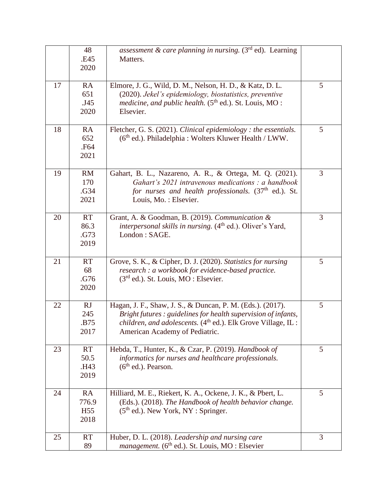|    | 48<br>.E45<br>2020                     | assessment & care planning in nursing. $(3rd$ ed). Learning<br>Matters.                                                                                                                                                         |   |
|----|----------------------------------------|---------------------------------------------------------------------------------------------------------------------------------------------------------------------------------------------------------------------------------|---|
| 17 | RA<br>651<br>.J45<br>2020              | Elmore, J. G., Wild, D. M., Nelson, H. D., & Katz, D. L.<br>(2020). Jekel's epidemiology, biostatistics, preventive<br><i>medicine, and public health.</i> $(5th$ ed.). St. Louis, MO :<br>Elsevier.                            | 5 |
| 18 | <b>RA</b><br>652<br>.F64<br>2021       | Fletcher, G. S. (2021). Clinical epidemiology : the essentials.<br>(6 <sup>th</sup> ed.). Philadelphia: Wolters Kluwer Health / LWW.                                                                                            | 5 |
| 19 | <b>RM</b><br>170<br>.G34<br>2021       | Gahart, B. L., Nazareno, A. R., & Ortega, M. Q. (2021).<br>Gahart's 2021 intravenous medications : a handbook<br>for nurses and health professionals. (37 <sup>th</sup> ed.). St.<br>Louis, Mo.: Elsevier.                      | 3 |
| 20 | <b>RT</b><br>86.3<br>.G73<br>2019      | Grant, A. & Goodman, B. (2019). Communication &<br><i>interpersonal skills in nursing.</i> (4 <sup>th</sup> ed.). Oliver's Yard,<br>London: SAGE.                                                                               | 3 |
| 21 | <b>RT</b><br>68<br>.G76<br>2020        | Grove, S. K., & Cipher, D. J. (2020). Statistics for nursing<br>research : a workbook for evidence-based practice.<br>$(3rd$ ed.). St. Louis, MO : Elsevier.                                                                    | 5 |
| 22 | RJ<br>245<br>.B75<br>2017              | Hagan, J. F., Shaw, J. S., & Duncan, P. M. (Eds.). (2017).<br>Bright futures : guidelines for health supervision of infants,<br>children, and adolescents. (4th ed.). Elk Grove Village, IL :<br>American Academy of Pediatric. | 5 |
| 23 | <b>RT</b><br>50.5<br>.H43<br>2019      | Hebda, T., Hunter, K., & Czar, P. (2019). Handbook of<br>informatics for nurses and healthcare professionals.<br>$(6th$ ed.). Pearson.                                                                                          | 5 |
| 24 | RA<br>776.9<br>H <sub>55</sub><br>2018 | Hilliard, M. E., Riekert, K. A., Ockene, J. K., & Pbert, L.<br>(Eds.). (2018). The Handbook of health behavior change.<br>(5 <sup>th</sup> ed.). New York, NY : Springer.                                                       | 5 |
| 25 | <b>RT</b><br>89                        | Huber, D. L. (2018). Leadership and nursing care<br><i>management.</i> ( $6th$ ed.). St. Louis, MO : Elsevier                                                                                                                   | 3 |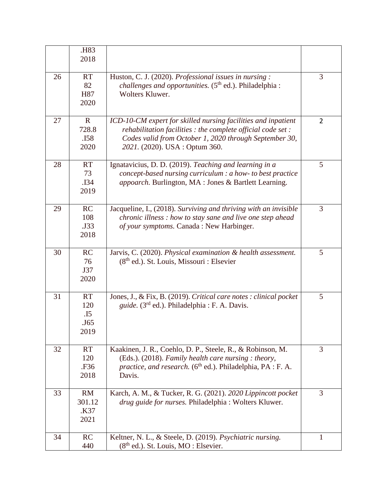|    | .H83<br>2018                            |                                                                                                                                                                                                                           |                |
|----|-----------------------------------------|---------------------------------------------------------------------------------------------------------------------------------------------------------------------------------------------------------------------------|----------------|
| 26 | <b>RT</b><br>82<br>H87<br>2020          | Huston, C. J. (2020). Professional issues in nursing:<br>challenges and opportunities. (5 <sup>th</sup> ed.). Philadelphia :<br>Wolters Kluwer.                                                                           | 3              |
| 27 | $\mathbf R$<br>728.8<br>.I58<br>2020    | ICD-10-CM expert for skilled nursing facilities and inpatient<br>rehabilitation facilities : the complete official code set :<br>Codes valid from October 1, 2020 through September 30,<br>2021. (2020). USA : Optum 360. | $\overline{2}$ |
| 28 | <b>RT</b><br>73<br>.I34<br>2019         | Ignatavicius, D. D. (2019). Teaching and learning in a<br>concept-based nursing curriculum : a how- to best practice<br>appoarch. Burlington, MA : Jones & Bartlett Learning.                                             | 5              |
| 29 | RC<br>108<br>.J33<br>2018               | Jacqueline, I., (2018). Surviving and thriving with an invisible<br>chronic illness : how to stay sane and live one step ahead<br>of your symptoms. Canada : New Harbinger.                                               | 3              |
| 30 | RC<br>76<br>J37<br>2020                 | Jarvis, C. (2020). Physical examination & health assessment.<br>$(8th$ ed.). St. Louis, Missouri : Elsevier                                                                                                               | 5              |
| 31 | <b>RT</b><br>120<br>.15<br>.J65<br>2019 | Jones, J., & Fix, B. (2019). Critical care notes : clinical pocket<br><i>guide.</i> (3 <sup>rd</sup> ed.). Philadelphia : F. A. Davis.                                                                                    | 5              |
| 32 | <b>RT</b><br>120<br>.F36<br>2018        | Kaakinen, J. R., Coehlo, D. P., Steele, R., & Robinson, M.<br>(Eds.). (2018). Family health care nursing : theory,<br>practice, and research. (6 <sup>th</sup> ed.). Philadelphia, PA : F. A.<br>Davis.                   | $\overline{3}$ |
| 33 | <b>RM</b><br>301.12<br>K37.<br>2021     | Karch, A. M., & Tucker, R. G. (2021). 2020 Lippincott pocket<br>drug guide for nurses. Philadelphia : Wolters Kluwer.                                                                                                     | 3              |
| 34 | RC<br>440                               | Keltner, N. L., & Steele, D. (2019). Psychiatric nursing.<br>$(8th$ ed.). St. Louis, MO : Elsevier.                                                                                                                       | 1              |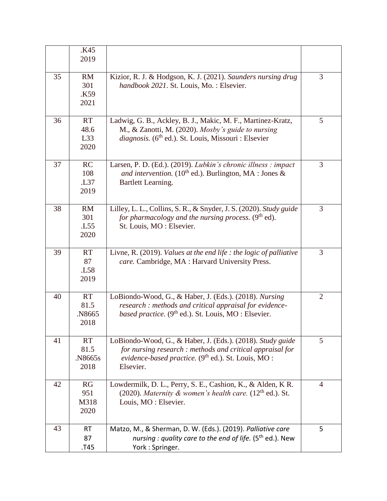|    | .K45            |                                                                    |                |
|----|-----------------|--------------------------------------------------------------------|----------------|
|    | 2019            |                                                                    |                |
|    |                 |                                                                    |                |
| 35 | <b>RM</b>       | Kizior, R. J. & Hodgson, K. J. (2021). Saunders nursing drug       | 3              |
|    | 301             | handbook 2021. St. Louis, Mo.: Elsevier.                           |                |
|    | K59.            |                                                                    |                |
|    | 2021            |                                                                    |                |
|    |                 |                                                                    |                |
| 36 | <b>RT</b>       | Ladwig, G. B., Ackley, B. J., Makic, M. F., Martinez-Kratz,        | 5              |
|    | 48.6            | M., & Zanotti, M. (2020). Mosby's guide to nursing                 |                |
|    | L33             | diagnosis. (6 <sup>th</sup> ed.). St. Louis, Missouri : Elsevier   |                |
|    | 2020            |                                                                    |                |
|    |                 |                                                                    |                |
| 37 | RC              | Larsen, P. D. (Ed.). (2019). Lubkin's chronic illness : impact     | $\overline{3}$ |
|    | 108             | and intervention. (10 <sup>th</sup> ed.). Burlington, MA : Jones & |                |
|    | L37             | Bartlett Learning.                                                 |                |
|    | 2019            |                                                                    |                |
|    |                 |                                                                    |                |
| 38 | RM              | Lilley, L. L., Collins, S. R., & Snyder, J. S. (2020). Study guide | 3              |
|    | 301             | for pharmacology and the nursing process. $(9th$ ed).              |                |
|    | . L55           | St. Louis, MO: Elsevier.                                           |                |
|    | 2020            |                                                                    |                |
|    |                 |                                                                    |                |
| 39 | <b>RT</b>       | Livne, R. (2019). Values at the end life : the logic of palliative | 3              |
|    | 87              | care. Cambridge, MA : Harvard University Press.                    |                |
|    | L <sub>58</sub> |                                                                    |                |
|    | 2019            |                                                                    |                |
|    |                 |                                                                    |                |
| 40 | <b>RT</b>       | LoBiondo-Wood, G., & Haber, J. (Eds.). (2018). Nursing             | $\overline{2}$ |
|    | 81.5            | research : methods and critical appraisal for evidence-            |                |
|    | N8665           | <i>based practice.</i> ( $9th$ ed.). St. Louis, MO : Elsevier.     |                |
|    | 2018            |                                                                    |                |
|    |                 |                                                                    |                |
| 41 | <b>RT</b>       | LoBiondo-Wood, G., & Haber, J. (Eds.). (2018). Study guide         | 5              |
|    | 81.5            | for nursing research : methods and critical appraisal for          |                |
|    | .N8665s         | evidence-based practice. (9 <sup>th</sup> ed.). St. Louis, MO :    |                |
|    | 2018            | Elsevier.                                                          |                |
|    |                 |                                                                    |                |
| 42 | RG              | Lowdermilk, D. L., Perry, S. E., Cashion, K., & Alden, K.R.        | $\overline{4}$ |
|    | 951             | (2020). Maternity & women's health care. $(12th$ ed.). St.         |                |
|    | M318            | Louis, MO : Elsevier.                                              |                |
|    | 2020            |                                                                    |                |
|    |                 |                                                                    |                |
| 43 | <b>RT</b>       | Matzo, M., & Sherman, D. W. (Eds.). (2019). Palliative care        | 5              |
|    | 87              | nursing : quality care to the end of life. $(5th$ ed.). New        |                |
|    | T45.            | York: Springer.                                                    |                |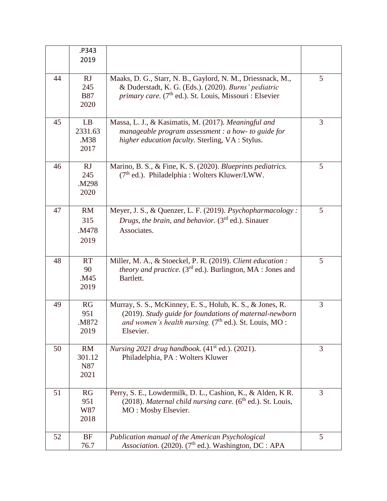|    | .P343<br>2019                      |                                                                                                                                                                                               |                |
|----|------------------------------------|-----------------------------------------------------------------------------------------------------------------------------------------------------------------------------------------------|----------------|
| 44 | RJ<br>245<br><b>B87</b><br>2020    | Maaks, D. G., Starr, N. B., Gaylord, N. M., Driessnack, M.,<br>& Duderstadt, K. G. (Eds.). (2020). Burns' pediatric<br>primary care. (7 <sup>th</sup> ed.). St. Louis, Missouri : Elsevier    | 5              |
| 45 | LB<br>2331.63<br>.M38<br>2017      | Massa, L. J., & Kasimatis, M. (2017). Meaningful and<br>manageable program assessment : a how- to guide for<br>higher education faculty. Sterling, VA : Stylus.                               | 3              |
| 46 | RJ<br>245<br>.M298<br>2020         | Marino, B. S., & Fine, K. S. (2020). Blueprints pediatrics.<br>$(7th$ ed.). Philadelphia : Wolters Kluwer/LWW.                                                                                | 5              |
| 47 | <b>RM</b><br>315<br>.M478<br>2019  | Meyer, J. S., & Quenzer, L. F. (2019). Psychopharmacology:<br>Drugs, the brain, and behavior. $(3rd$ ed.). Sinauer<br>Associates.                                                             | 5              |
| 48 | <b>RT</b><br>90<br>M45<br>2019     | Miller, M. A., & Stoeckel, P. R. (2019). Client education :<br><i>theory and practice.</i> (3 <sup>rd</sup> ed.). Burlington, MA : Jones and<br>Bartlett.                                     | 5              |
| 49 | RG<br>951<br>.M872<br>2019         | Murray, S. S., McKinney, E. S., Holub, K. S., & Jones, R.<br>(2019). Study guide for foundations of maternal-newborn<br>and women's health nursing. $(7th$ ed.). St. Louis, MO :<br>Elsevier. | 3              |
| 50 | <b>RM</b><br>301.12<br>N87<br>2021 | Nursing 2021 drug handbook. $(41st$ ed.). (2021).<br>Philadelphia, PA: Wolters Kluwer                                                                                                         | $\overline{3}$ |
| 51 | RG<br>951<br>W87<br>2018           | Perry, S. E., Lowdermilk, D. L., Cashion, K., & Alden, K.R.<br>$(2018)$ . Maternal child nursing care. $(6th$ ed.). St. Louis,<br>MO: Mosby Elsevier.                                         | 3              |
| 52 | BF<br>76.7                         | Publication manual of the American Psychological<br>Association. (2020). (7 <sup>th</sup> ed.). Washington, DC : APA                                                                          | 5              |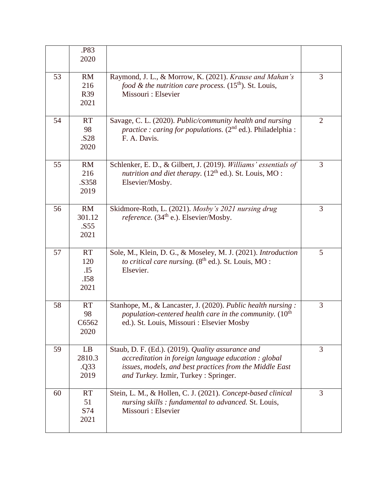|    | .P83<br>2020                                         |                                                                                                                                                                                                              |                |
|----|------------------------------------------------------|--------------------------------------------------------------------------------------------------------------------------------------------------------------------------------------------------------------|----------------|
| 53 | <b>RM</b><br>216<br>R39<br>2021                      | Raymond, J. L., & Morrow, K. (2021). Krause and Mahan's<br>food & the nutrition care process. $(15th)$ . St. Louis,<br>Missouri : Elsevier                                                                   | $\overline{3}$ |
| 54 | <b>RT</b><br>98<br>.S28<br>2020                      | Savage, C. L. (2020). Public/community health and nursing<br><i>practice : caring for populations.</i> $(2^{nd}$ ed.). Philadelphia :<br>F. A. Davis.                                                        | $\overline{2}$ |
| 55 | RM<br>216<br>.S358<br>2019                           | Schlenker, E. D., & Gilbert, J. (2019). Williams' essentials of<br>nutrition and diet therapy. $(12th$ ed.). St. Louis, MO :<br>Elsevier/Mosby.                                                              | 3              |
| 56 | RM<br>301.12<br>.S55<br>2021                         | Skidmore-Roth, L. (2021). Mosby's 2021 nursing drug<br>reference. (34 <sup>th</sup> e.). Elsevier/Mosby.                                                                                                     | $\overline{3}$ |
| 57 | <b>RT</b><br>120<br>$\overline{.15}$<br>.I58<br>2021 | Sole, M., Klein, D. G., & Moseley, M. J. (2021). Introduction<br>to critical care nursing. $(8th$ ed.). St. Louis, MO :<br>Elsevier.                                                                         | 5              |
| 58 | <b>RT</b><br>98<br>C6562<br>2020                     | Stanhope, M., & Lancaster, J. (2020). Public health nursing:<br>population-centered health care in the community. $(10th)$<br>ed.). St. Louis, Missouri : Elsevier Mosby                                     | 3              |
| 59 | LB<br>2810.3<br>.Q33<br>2019                         | Staub, D. F. (Ed.). (2019). Quality assurance and<br>accreditation in foreign language education : global<br>issues, models, and best practices from the Middle East<br>and Turkey. Izmir, Turkey: Springer. | 3              |
| 60 | <b>RT</b><br>51<br>S74<br>2021                       | Stein, L. M., & Hollen, C. J. (2021). Concept-based clinical<br>nursing skills : fundamental to advanced. St. Louis,<br>Missouri : Elsevier                                                                  | 3              |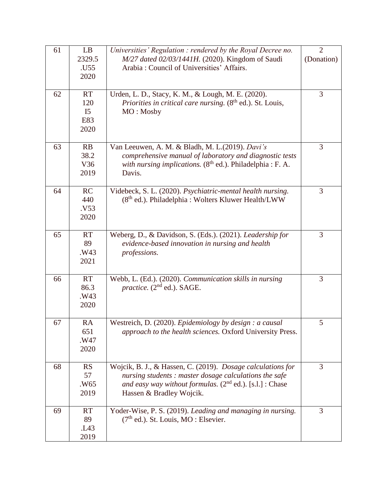| 61 | LB             | Universities' Regulation : rendered by the Royal Decree no.            | $\overline{2}$ |
|----|----------------|------------------------------------------------------------------------|----------------|
|    | 2329.5         | M/27 dated 02/03/1441H. (2020). Kingdom of Saudi                       | (Donation)     |
|    | .U55           | Arabia: Council of Universities' Affairs.                              |                |
|    | 2020           |                                                                        |                |
|    |                |                                                                        |                |
| 62 | <b>RT</b>      | Urden, L. D., Stacy, K. M., & Lough, M. E. (2020).                     | 3              |
|    | 120            | <i>Priorities in critical care nursing.</i> $(8th$ ed.). St. Louis,    |                |
|    | I <sub>5</sub> | MO: Mosby                                                              |                |
|    | E83            |                                                                        |                |
|    | 2020           |                                                                        |                |
|    |                |                                                                        |                |
| 63 | RB             | Van Leeuwen, A. M. & Bladh, M. L.(2019). Davi's                        | 3              |
|    | 38.2           | comprehensive manual of laboratory and diagnostic tests                |                |
|    | V36            | with nursing implications. (8 <sup>th</sup> ed.). Philadelphia : F. A. |                |
|    | 2019           | Davis.                                                                 |                |
|    |                |                                                                        |                |
| 64 | RC             | Videbeck, S. L. (2020). Psychiatric-mental health nursing.             | 3              |
|    | 440            | (8 <sup>th</sup> ed.). Philadelphia : Wolters Kluwer Health/LWW        |                |
|    | .V53           |                                                                        |                |
|    | 2020           |                                                                        |                |
|    |                |                                                                        |                |
| 65 | <b>RT</b>      | Weberg, D., & Davidson, S. (Eds.). (2021). Leadership for              | 3              |
|    | 89             | evidence-based innovation in nursing and health                        |                |
|    | .W43           | professions.                                                           |                |
|    | 2021           |                                                                        |                |
|    |                |                                                                        |                |
| 66 | <b>RT</b>      | Webb, L. (Ed.). (2020). Communication skills in nursing                | 3              |
|    | 86.3           | <i>practice.</i> $(2nd ed.)$ . SAGE.                                   |                |
|    | .W43           |                                                                        |                |
|    | 2020           |                                                                        |                |
| 67 | RA             | Westreich, D. (2020). Epidemiology by design : a causal                | 5              |
|    | 651            | approach to the health sciences. Oxford University Press.              |                |
|    | .W47           |                                                                        |                |
|    | 2020           |                                                                        |                |
|    |                |                                                                        |                |
| 68 | <b>RS</b>      | Wojcik, B. J., & Hassen, C. (2019). Dosage calculations for            | 3              |
|    | 57             | nursing students : master dosage calculations the safe                 |                |
|    | .W65           | and easy way without formulas. $(2^{nd}$ ed.). [s.l.] : Chase          |                |
|    | 2019           | Hassen & Bradley Wojcik.                                               |                |
|    |                |                                                                        |                |
| 69 | <b>RT</b>      | Yoder-Wise, P. S. (2019). Leading and managing in nursing.             | 3              |
|    | 89             | $(7th$ ed.). St. Louis, MO : Elsevier.                                 |                |
|    | L43            |                                                                        |                |
|    | 2019           |                                                                        |                |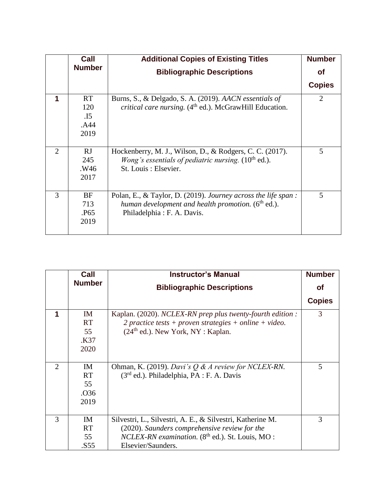|                             | Call             | <b>Additional Copies of Existing Titles</b>                    | <b>Number</b>               |
|-----------------------------|------------------|----------------------------------------------------------------|-----------------------------|
|                             | <b>Number</b>    | <b>Bibliographic Descriptions</b>                              | <b>of</b>                   |
|                             |                  |                                                                | <b>Copies</b>               |
| 1                           | <b>RT</b>        | Burns, S., & Delgado, S. A. (2019). AACN essentials of         | $\mathcal{D}_{\mathcal{L}}$ |
|                             | 120              | critical care nursing. $(4th$ ed.). McGrawHill Education.      |                             |
|                             | $\overline{.15}$ |                                                                |                             |
|                             | .A44             |                                                                |                             |
|                             | 2019             |                                                                |                             |
|                             |                  |                                                                |                             |
| $\mathcal{D}_{\mathcal{L}}$ | RJ               | Hockenberry, M. J., Wilson, D., & Rodgers, C. C. (2017).       | 5                           |
|                             | 245              | <i>Wong's essentials of pediatric nursing.</i> $(10th$ ed.).   |                             |
|                             | .W46             | St. Louis: Elsevier.                                           |                             |
|                             | 2017             |                                                                |                             |
|                             |                  |                                                                |                             |
| 3                           | <b>BF</b>        | Polan, E., & Taylor, D. (2019). Journey across the life span : | 5                           |
|                             | 713              | human development and health promotion. $(6^{th}$ ed.).        |                             |
|                             | .P <sub>65</sub> | Philadelphia: F. A. Davis.                                     |                             |
|                             | 2019             |                                                                |                             |
|                             |                  |                                                                |                             |

|                             | Call             | <b>Instructor's Manual</b>                                  | <b>Number</b> |
|-----------------------------|------------------|-------------------------------------------------------------|---------------|
|                             | <b>Number</b>    | <b>Bibliographic Descriptions</b>                           | <b>of</b>     |
|                             |                  |                                                             | <b>Copies</b> |
| 1                           | <b>IM</b>        | Kaplan. (2020). NCLEX-RN prep plus twenty-fourth edition :  | 3             |
|                             | <b>RT</b>        | 2 practice tests + proven strategies + online + video.      |               |
|                             | 55               | $(24th$ ed.). New York, NY : Kaplan.                        |               |
|                             | K37.             |                                                             |               |
|                             | 2020             |                                                             |               |
|                             |                  |                                                             |               |
| $\mathcal{D}_{\mathcal{L}}$ | IM               | Ohman, K. (2019). Davi's $Q \& A$ review for NCLEX-RN.      | 5             |
|                             | <b>RT</b>        | (3 <sup>rd</sup> ed.). Philadelphia, PA : F. A. Davis       |               |
|                             | 55               |                                                             |               |
|                             | .O <sub>36</sub> |                                                             |               |
|                             | 2019             |                                                             |               |
|                             |                  |                                                             |               |
| 3                           | <b>IM</b>        | Silvestri, L., Silvestri, A. E., & Silvestri, Katherine M.  | 3             |
|                             | <b>RT</b>        | (2020). Saunders comprehensive review for the               |               |
|                             | 55               | NCLEX-RN examination. (8 <sup>th</sup> ed.). St. Louis, MO: |               |
|                             | .S55             | Elsevier/Saunders.                                          |               |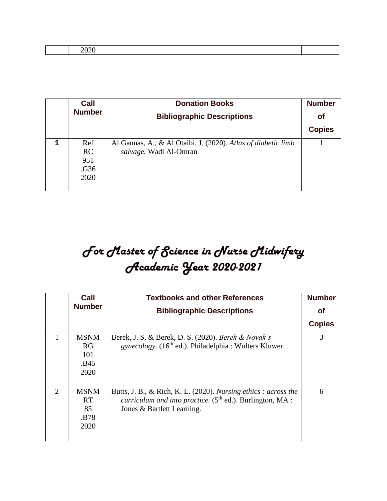| _____ |  |  |
|-------|--|--|
|       |  |  |

| Call          | <b>Donation Books</b>                                         | <b>Number</b> |
|---------------|---------------------------------------------------------------|---------------|
| <b>Number</b> | <b>Bibliographic Descriptions</b>                             | <b>of</b>     |
|               |                                                               | <b>Copies</b> |
| Ref           | Al Gannas, A., & Al Otaibi, J. (2020). Atlas of diabetic limb |               |
| <b>RC</b>     | salvage. Wadi Al-Omran                                        |               |
| 951           |                                                               |               |
| .G36          |                                                               |               |
| 2020          |                                                               |               |
|               |                                                               |               |

## *For Master of Science in Nurse Midwifery Academic Year 2020-2021*

|                             | Call          | <b>Textbooks and other References</b>                                     | <b>Number</b> |
|-----------------------------|---------------|---------------------------------------------------------------------------|---------------|
|                             | <b>Number</b> | <b>Bibliographic Descriptions</b>                                         | Οf            |
|                             |               |                                                                           | <b>Copies</b> |
|                             | <b>MSNM</b>   | Berek, J. S. & Berek, D. S. (2020). Berek & Novak's                       | 3             |
|                             | RG            | <i>gynecology.</i> (16 <sup>th</sup> ed.). Philadelphia : Wolters Kluwer. |               |
|                             | 101           |                                                                           |               |
|                             | .B45          |                                                                           |               |
|                             | 2020          |                                                                           |               |
|                             |               |                                                                           |               |
| $\mathcal{D}_{\mathcal{L}}$ | <b>MSNM</b>   | Butts, J. B., & Rich, K. L. (2020). Nursing ethics : across the           | 6             |
|                             | <b>RT</b>     | curriculum and into practice. (5 <sup>th</sup> ed.). Burlington, MA :     |               |
|                             | 85            | Jones & Bartlett Learning.                                                |               |
|                             | .B78          |                                                                           |               |
|                             | 2020          |                                                                           |               |
|                             |               |                                                                           |               |